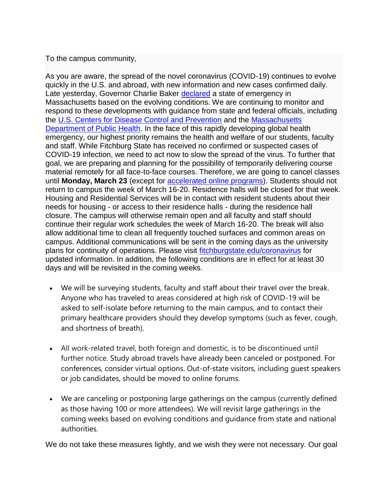## To the campus community,

As you are aware, the spread of the novel coronavirus (COVID-19) continues to evolve quickly in the U.S. and abroad, with new information and new cases confirmed daily. Late yesterday, Governor Charlie Baker [declared](https://www.mass.gov/news/governor-baker-declares-state-of-emergency-to-support-commonwealths-response-to-coronavirus) a state of emergency in Massachusetts based on the evolving conditions. We are continuing to monitor and respond to these developments with guidance from state and federal officials, including the [U.S. Centers for Disease Control and Prevention](https://www.cdc.gov/coronavirus/2019-ncov/index.html) and the [Massachusetts](https://www.mass.gov/resource/information-on-the-outbreak-of-coronavirus-disease-2019-covid-19)  [Department of Public Health.](https://www.mass.gov/resource/information-on-the-outbreak-of-coronavirus-disease-2019-covid-19) In the face of this rapidly developing global health emergency, our highest priority remains the health and welfare of our students, faculty and staff. While Fitchburg State has received no confirmed or suspected cases of COVID-19 infection, we need to act now to slow the spread of the virus. To further that goal, we are preparing and planning for the possibility of temporarily delivering course material remotely for all face-to-face courses. Therefore, we are going to cancel classes until **Monday, March 23** (except for [accelerated online programs\)](https://online.fitchburgstate.edu/programs/). Students should not return to campus the week of March 16-20. Residence halls will be closed for that week. Housing and Residential Services will be in contact with resident students about their needs for housing - or access to their residence halls - during the residence hall closure. The campus will otherwise remain open and all faculty and staff should continue their regular work schedules the week of March 16-20. The break will also allow additional time to clean all frequently touched surfaces and common areas on campus. Additional communications will be sent in the coming days as the university plans for continuity of operations. Please visit [fitchburgstate.edu/coronavirus](https://www.fitchburgstate.edu/offices-services-directory/health-services/coronavirus-information/) for updated information. In addition, the following conditions are in effect for at least 30 days and will be revisited in the coming weeks.

- We will be surveying students, faculty and staff about their travel over the break. Anyone who has traveled to areas considered at high risk of COVID-19 will be asked to self-isolate before returning to the main campus, and to contact their primary healthcare providers should they develop symptoms (such as fever, cough, and shortness of breath).
- All work-related travel, both foreign and domestic, is to be discontinued until further notice. Study abroad travels have already been canceled or postponed. For conferences, consider virtual options. Out-of-state visitors, including guest speakers or job candidates, should be moved to online forums.
- We are canceling or postponing large gatherings on the campus (currently defined as those having 100 or more attendees). We will revisit large gatherings in the coming weeks based on evolving conditions and guidance from state and national authorities.

We do not take these measures lightly, and we wish they were not necessary. Our goal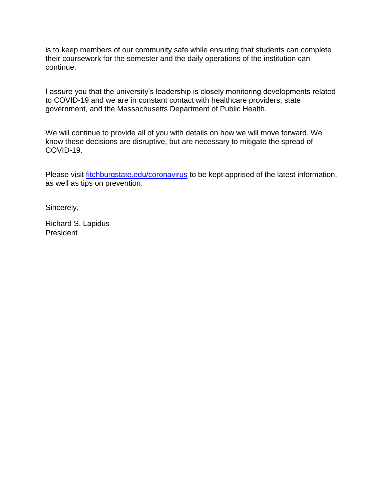is to keep members of our community safe while ensuring that students can complete their coursework for the semester and the daily operations of the institution can continue.

I assure you that the university's leadership is closely monitoring developments related to COVID-19 and we are in constant contact with healthcare providers, state government, and the Massachusetts Department of Public Health.

We will continue to provide all of you with details on how we will move forward. We know these decisions are disruptive, but are necessary to mitigate the spread of COVID-19.

Please visit [fitchburgstate.edu/coronavirus](https://www.fitchburgstate.edu/offices-services-directory/health-services/coronavirus-information/) to be kept apprised of the latest information, as well as tips on prevention.

Sincerely,

Richard S. Lapidus President